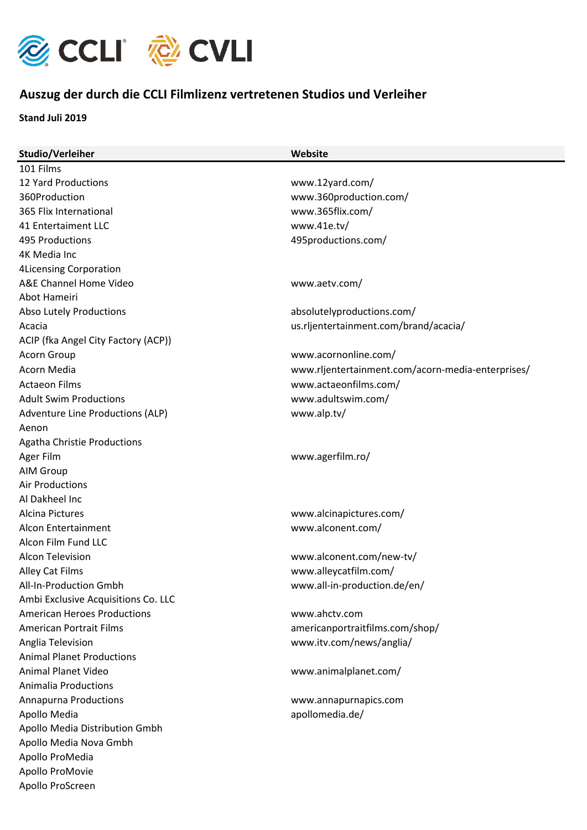

## **Auszug der durch die CCLI Filmlizenz vertretenen Studios und Verleiher**

**Stand Juli 2019**

| Studio/Verleiher                    | Website                                           |
|-------------------------------------|---------------------------------------------------|
| 101 Films                           |                                                   |
| <b>12 Yard Productions</b>          | www.12yard.com/                                   |
| 360Production                       | www.360production.com/                            |
| 365 Flix International              | www.365flix.com/                                  |
| 41 Entertaiment LLC                 | www.41e.tv/                                       |
| 495 Productions                     | 495productions.com/                               |
| 4K Media Inc                        |                                                   |
| <b>4Licensing Corporation</b>       |                                                   |
| A&E Channel Home Video              | www.aetv.com/                                     |
| Abot Hameiri                        |                                                   |
| Abso Lutely Productions             | absolutelyproductions.com/                        |
| Acacia                              | us.rljentertainment.com/brand/acacia/             |
| ACIP (fka Angel City Factory (ACP)) |                                                   |
| Acorn Group                         | www.acornonline.com/                              |
| Acorn Media                         | www.rljentertainment.com/acorn-media-enterprises/ |
| <b>Actaeon Films</b>                | www.actaeonfilms.com/                             |
| <b>Adult Swim Productions</b>       | www.adultswim.com/                                |
| Adventure Line Productions (ALP)    | www.alp.tv/                                       |
| Aenon                               |                                                   |
| <b>Agatha Christie Productions</b>  |                                                   |
| Ager Film                           | www.agerfilm.ro/                                  |
| AIM Group                           |                                                   |
| <b>Air Productions</b>              |                                                   |
| Al Dakheel Inc                      |                                                   |
| Alcina Pictures                     | www.alcinapictures.com/                           |
| Alcon Entertainment                 | www.alconent.com/                                 |
| Alcon Film Fund LLC                 |                                                   |
| <b>Alcon Television</b>             | www.alconent.com/new-tv/                          |
| Alley Cat Films                     | www.alleycatfilm.com/                             |
| All-In-Production Gmbh              | www.all-in-production.de/en/                      |
| Ambi Exclusive Acquisitions Co. LLC |                                                   |
| <b>American Heroes Productions</b>  | www.ahctv.com                                     |
| <b>American Portrait Films</b>      | americanportraitfilms.com/shop/                   |
| Anglia Television                   | www.itv.com/news/anglia/                          |
| <b>Animal Planet Productions</b>    |                                                   |
| <b>Animal Planet Video</b>          | www.animalplanet.com/                             |
| <b>Animalia Productions</b>         |                                                   |
| <b>Annapurna Productions</b>        | www.annapurnapics.com                             |
| Apollo Media                        | apollomedia.de/                                   |
| Apollo Media Distribution Gmbh      |                                                   |
| Apollo Media Nova Gmbh              |                                                   |
| Apollo ProMedia                     |                                                   |
| Apollo ProMovie                     |                                                   |
| Apollo ProScreen                    |                                                   |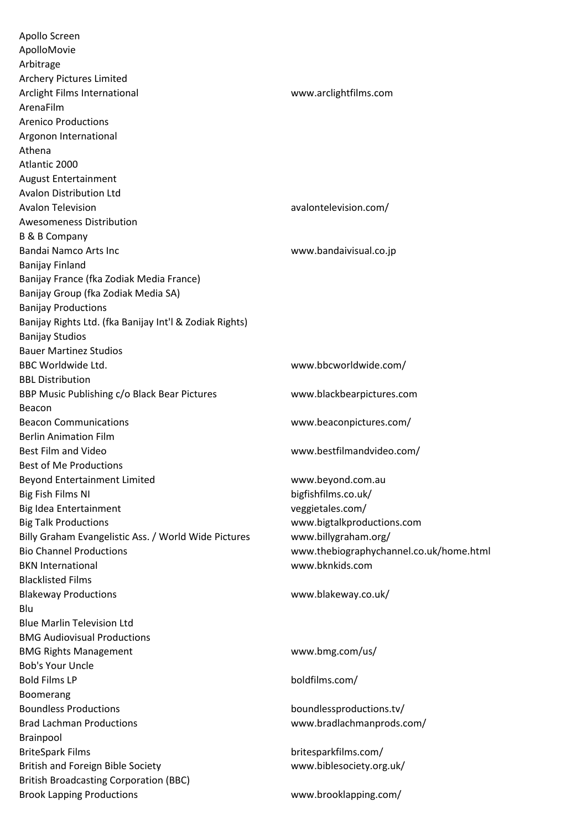Apollo Screen ApolloMovie Arbitrage Archery Pictures Limited Arclight Films International www.arclightfilms.com ArenaFilm Arenico Productions Argonon International Athena Atlantic 2000 August Entertainment Avalon Distribution Ltd Avalon Television avalontelevision.com/ Awesomeness Distribution B & B Company Bandai Namco Arts Inc Washington and Warehouse www.bandaivisual.co.jp Banijay Finland Banijay France (fka Zodiak Media France) Banijay Group (fka Zodiak Media SA) Banijay Productions Banijay Rights Ltd. (fka Banijay Int'l & Zodiak Rights) Banijay Studios Bauer Martinez Studios BBC Worldwide Ltd. www.bbcworldwide.com/ BBL Distribution BBP Music Publishing c/o Black Bear Pictures www.blackbearpictures.com Beacon Beacon Communications www.beaconpictures.com/ Berlin Animation Film Best Film and Video www.bestfilmandvideo.com/ Best of Me Productions Beyond Entertainment Limited www.beyond.com.au Big Fish Films NI bigfishfilms.co.uk/ Big Idea Entertainment veggietales.com/ Big Talk Productions www.bigtalkproductions.com Billy Graham Evangelistic Ass. / World Wide Pictures www.billygraham.org/ Bio Channel Productions www.thebiographychannel.co.uk/home.html BKN International www.bknkids.com Blacklisted Films Blakeway Productions www.blakeway.co.uk/ Blu Blue Marlin Television Ltd BMG Audiovisual Productions BMG Rights Management www.bmg.com/us/ Bob's Your Uncle Bold Films LP boldfilms.com/ Boomerang Boundless Productions boundlessproductions.tv/ Brad Lachman Productions www.bradlachmanprods.com/ Brainpool BriteSpark Films britesparkfilms.com/ British and Foreign Bible Society www.biblesociety.org.uk/ British Broadcasting Corporation (BBC) Brook Lapping Productions www.brooklapping.com/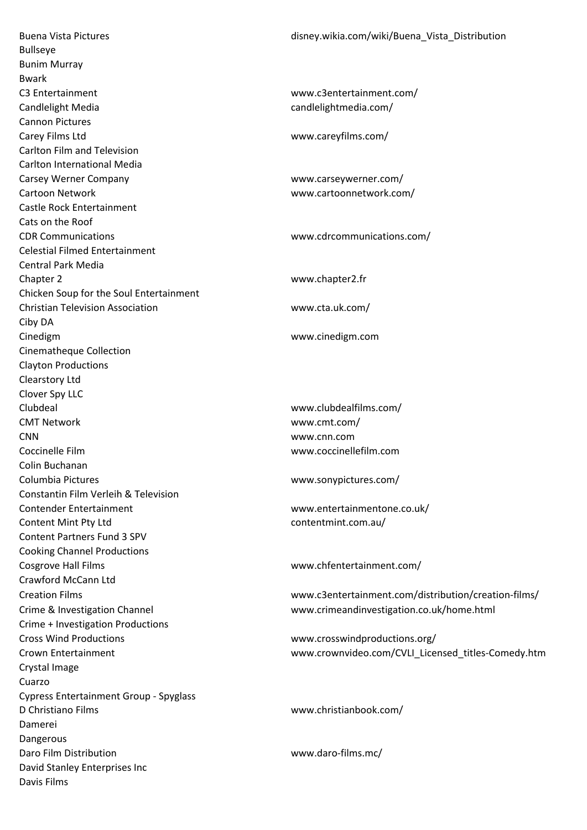Buena Vista Pictures disney.wikia.com/wiki/Buena\_Vista\_Distribution Bullseye Bunim Murray Bwark C3 Entertainment www.c3entertainment.com/ Candlelight Media candlelight Media candlelightmedia.com/ Cannon Pictures Carey Films Ltd www.careyfilms.com/ Carlton Film and Television Carlton International Media Carsey Werner Company www.carseywerner.com/ Cartoon Network www.cartoonnetwork.com/ Castle Rock Entertainment Cats on the Roof CDR Communications www.cdrcommunications.com/ Celestial Filmed Entertainment Central Park Media Chapter 2 www.chapter2.fr Chicken Soup for the Soul Entertainment Christian Television Association www.cta.uk.com/ Ciby DA Cinedigm www.cinedigm.com Cinematheque Collection Clayton Productions Clearstory Ltd Clover Spy LLC Clubdeal www.clubdealfilms.com/ CMT Network www.cmt.com/ CNN www.cnn.com Coccinelle Film www.coccinellefilm.com Colin Buchanan Columbia Pictures www.sonypictures.com/ Constantin Film Verleih & Television Contender Entertainment www.entertainmentone.co.uk/ Content Mint Pty Ltd contentmint.com.au/ Content Partners Fund 3 SPV Cooking Channel Productions Cosgrove Hall Films www.chfentertainment.com/ Crawford McCann Ltd Creation Films www.c3entertainment.com/distribution/creation-films/ Crime & Investigation Channel www.crimeandinvestigation.co.uk/home.html Crime + Investigation Productions Cross Wind Productions www.crosswindproductions.org/ Crown Entertainment www.crownvideo.com/CVLI\_Licensed\_titles-Comedy.htm Crystal Image Cuarzo Cypress Entertainment Group - Spyglass D Christiano Films www.christianbook.com/ Damerei Dangerous Daro Film Distribution www.daro-films.mc/ David Stanley Enterprises Inc Davis Films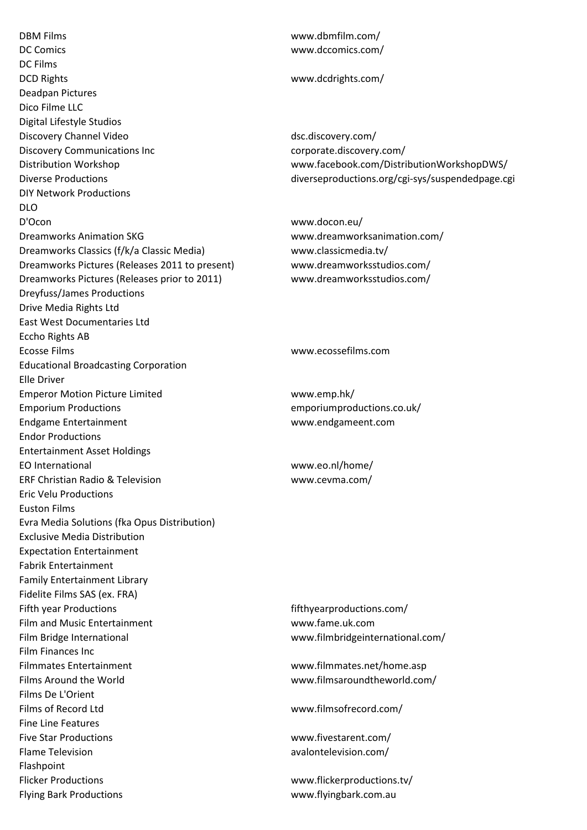DBM Films www.dbmfilm.com/ DC Comics www.dccomics.com/ DC Films DCD Rights www.dcdrights.com/ Deadpan Pictures Dico Filme LLC Digital Lifestyle Studios Discovery Channel Video dsc.discovery.com/ Discovery Communications Inc corporate.discovery.com/ Distribution Workshop www.facebook.com/DistributionWorkshopDWS/ DIY Network Productions DLO D'Ocon www.docon.eu/ Dreamworks Animation SKG www.dreamworksanimation.com/ Dreamworks Classics (f/k/a Classic Media) www.classicmedia.tv/ Dreamworks Pictures (Releases 2011 to present) www.dreamworksstudios.com/ Dreamworks Pictures (Releases prior to 2011) www.dreamworksstudios.com/ Dreyfuss/James Productions Drive Media Rights Ltd East West Documentaries Ltd Eccho Rights AB Ecosse Films www.ecossefilms.com Educational Broadcasting Corporation Elle Driver Emperor Motion Picture Limited www.emp.hk/ Emporium Productions emporiumproductions.co.uk/ Endgame Entertainment www.endgameent.com Endor Productions Entertainment Asset Holdings EO International www.eo.nl/home/ ERF Christian Radio & Television www.cevma.com/ Eric Velu Productions Euston Films Evra Media Solutions (fka Opus Distribution) Exclusive Media Distribution Expectation Entertainment Fabrik Entertainment Family Entertainment Library Fidelite Films SAS (ex. FRA) Fifth year Productions **fifth year Productions** fifth year productions.com/ Film and Music Entertainment www.fame.uk.com Film Bridge International www.filmbridgeinternational.com/ Film Finances Inc Filmmates Entertainment www.filmmates.net/home.asp Films Around the World www.filmsaroundtheworld.com/ Films De L'Orient Films of Record Ltd www.filmsofrecord.com/ Fine Line Features Five Star Productions www.fivestarent.com/ Flame Television avalontelevision.com/ Flashpoint Flicker Productions www.flickerproductions.tv/ Flying Bark Productions www.flyingbark.com.au

Diverse Productions diverseproductions.org/cgi-sys/suspendedpage.cgi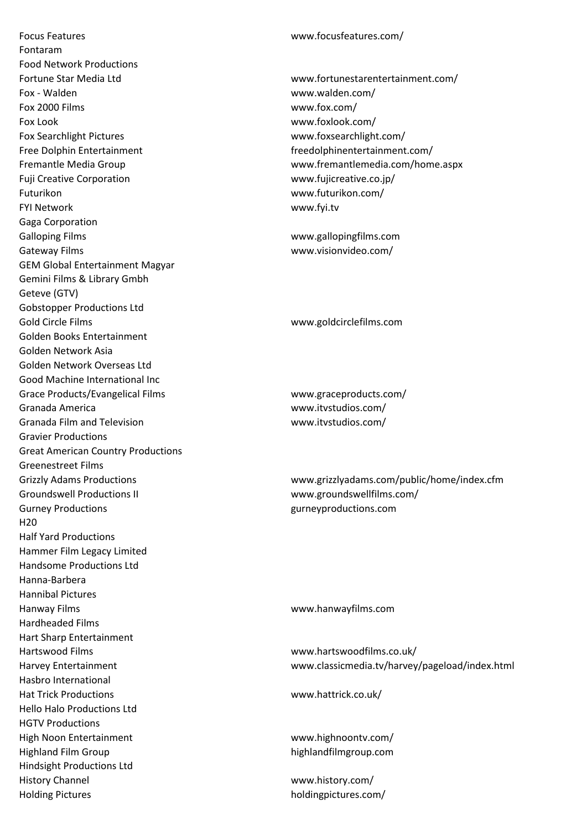Focus Features www.focusfeatures.com/ Fontaram Food Network Productions Fortune Star Media Ltd www.fortunestarentertainment.com/ Fox - Walden www.walden.com/ Fox 2000 Films www.fox.com/ Fox Look www.foxlook.com/ Fox Searchlight Pictures www.foxsearchlight.com/ Free Dolphin Entertainment freedolphinentertainment.com/ Fuji Creative Corporation www.fujicreative.co.jp/ Futurikon www.futurikon.com/ FYI Network www.fyi.tv Gaga Corporation Galloping Films www.gallopingfilms.com Gateway Films **www.visionvideo.com/** GEM Global Entertainment Magyar Gemini Films & Library Gmbh Geteve (GTV) Gobstopper Productions Ltd Gold Circle Films www.goldcirclefilms.com Golden Books Entertainment Golden Network Asia Golden Network Overseas Ltd Good Machine International Inc Grace Products/Evangelical Films www.graceproducts.com/ Granada America www.itvstudios.com/ Granada Film and Television example www.itvstudios.com/ Gravier Productions Great American Country Productions Greenestreet Films Groundswell Productions II www.groundswellfilms.com/ Gurney Productions gurneyproductions.com H20 Half Yard Productions Hammer Film Legacy Limited Handsome Productions Ltd Hanna-Barbera Hannibal Pictures Hanway Films www.hanwayfilms.com Hardheaded Films Hart Sharp Entertainment Hartswood Films www.hartswoodfilms.co.uk/ Hasbro International Hat Trick Productions www.hattrick.co.uk/ Hello Halo Productions Ltd HGTV Productions High Noon Entertainment www.highnoontv.com/ Highland Film Group highlandfilmgroup.com Hindsight Productions Ltd History Channel www.history.com/

Fremantle Media Group www.fremantlemedia.com/home.aspx

Grizzly Adams Productions www.grizzlyadams.com/public/home/index.cfm

Harvey Entertainment www.classicmedia.tv/harvey/pageload/index.html

Holding Pictures holdingpictures.com/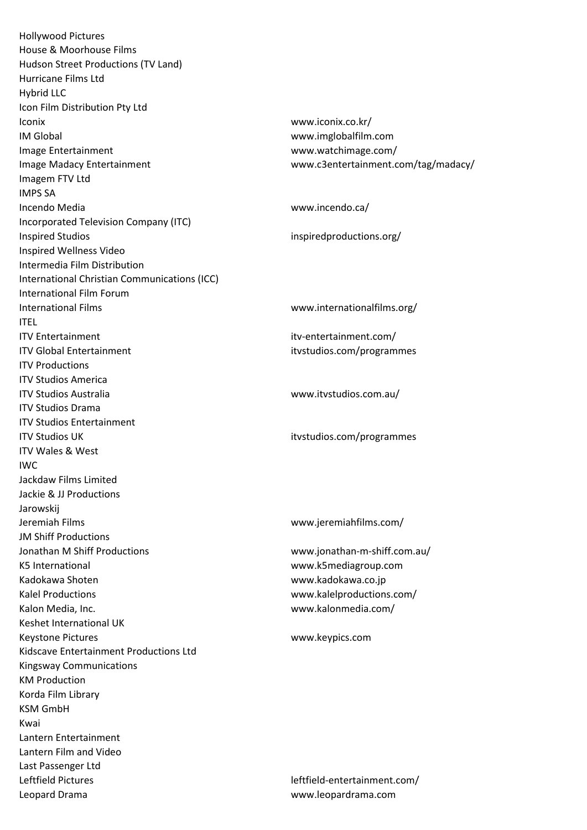Hollywood Pictures House & Moorhouse Films Hudson Street Productions (TV Land) Hurricane Films Ltd Hybrid LLC Icon Film Distribution Pty Ltd Iconix www.iconix.co.kr/ IM Global www.imglobalfilm.com Image Entertainment www.watchimage.com/ Image Madacy Entertainment www.c3entertainment.com/tag/madacy/ Imagem FTV Ltd IMPS SA Incendo Media www.incendo.ca/ Incorporated Television Company (ITC) Inspired Studios inspiredproductions.org/ Inspired Wellness Video Intermedia Film Distribution International Christian Communications (ICC) International Film Forum International Films www.internationalfilms.org/ ITEL ITV Entertainment itv-entertainment.com/ ITV Global Entertainment itvstudios.com/programmes ITV Productions ITV Studios America ITV Studios Australia www.itvstudios.com.au/ ITV Studios Drama ITV Studios Entertainment ITV Studios UK itvstudios.com/programmes ITV Wales & West IWC Jackdaw Films Limited Jackie & JJ Productions Jarowskij Jeremiah Films www.jeremiahfilms.com/ JM Shiff Productions Jonathan M Shiff Productions www.jonathan-m-shiff.com.au/ K5 International www.k5mediagroup.com Kadokawa Shoten www.kadokawa.co.jp Kalel Productions www.kalelproductions.com/ Kalon Media, Inc. www.kalonmedia.com/ Keshet International UK Keystone Pictures www.keypics.com Kidscave Entertainment Productions Ltd Kingsway Communications KM Production Korda Film Library KSM GmbH Kwai Lantern Entertainment Lantern Film and Video Last Passenger Ltd Leftfield Pictures leftfield-entertainment.com/ Leopard Drama www.leopardrama.com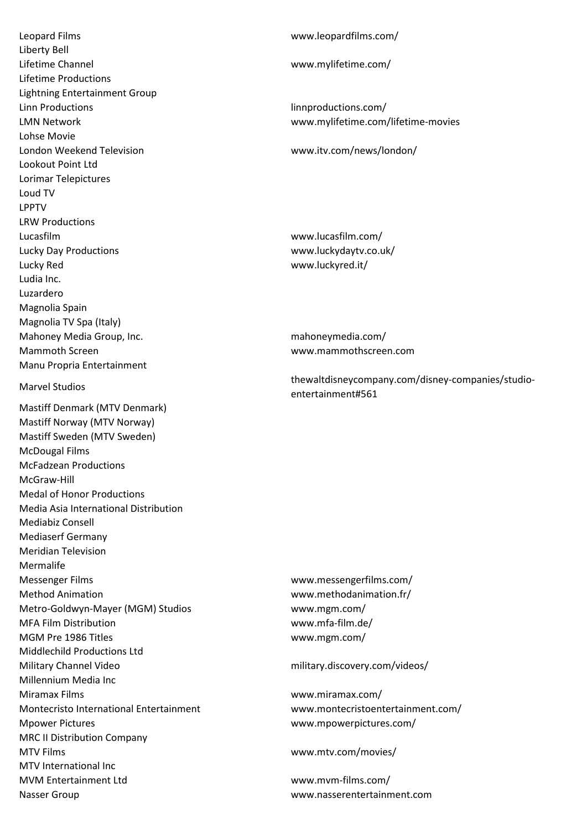Leopard Films www.leopardfilms.com/ Liberty Bell Lifetime Channel www.mylifetime.com/ Lifetime Productions Lightning Entertainment Group Linn Productions linnproductions.com/ LMN Network www.mylifetime.com/lifetime-movies Lohse Movie London Weekend Television www.itv.com/news/london/ Lookout Point Ltd Lorimar Telepictures Loud TV LPPTV LRW Productions Lucasfilm www.lucasfilm.com/ Lucky Day Productions www.luckydaytv.co.uk/ Lucky Red www.luckyred.it/ Ludia Inc. Luzardero Magnolia Spain Magnolia TV Spa (Italy) Mahoney Media Group, Inc. mahoneymedia.com/ Mammoth Screen www.mammothscreen.com Manu Propria Entertainment Mastiff Denmark (MTV Denmark) Mastiff Norway (MTV Norway) Mastiff Sweden (MTV Sweden) McDougal Films McFadzean Productions McGraw-Hill Medal of Honor Productions Media Asia International Distribution Mediabiz Consell Mediaserf Germany Meridian Television Mermalife Messenger Films www.messengerfilms.com/ Method Animation www.methodanimation.fr/ Metro-Goldwyn-Mayer (MGM) Studios www.mgm.com/ MFA Film Distribution www.mfa-film.de/ MGM Pre 1986 Titles www.mgm.com/ Middlechild Productions Ltd Military Channel Video military.discovery.com/videos/ Millennium Media Inc Miramax Films www.miramax.com/ Montecristo International Entertainment www.montecristoentertainment.com/ Mpower Pictures www.mpowerpictures.com/ MRC II Distribution Company MTV Films www.mtv.com/movies/ MTV International Inc MVM Entertainment Ltd www.mvm-films.com/

Marvel Studios thewaltdisneycompany.com/disney-companies/studioentertainment#561

Nasser Group www.nasserentertainment.com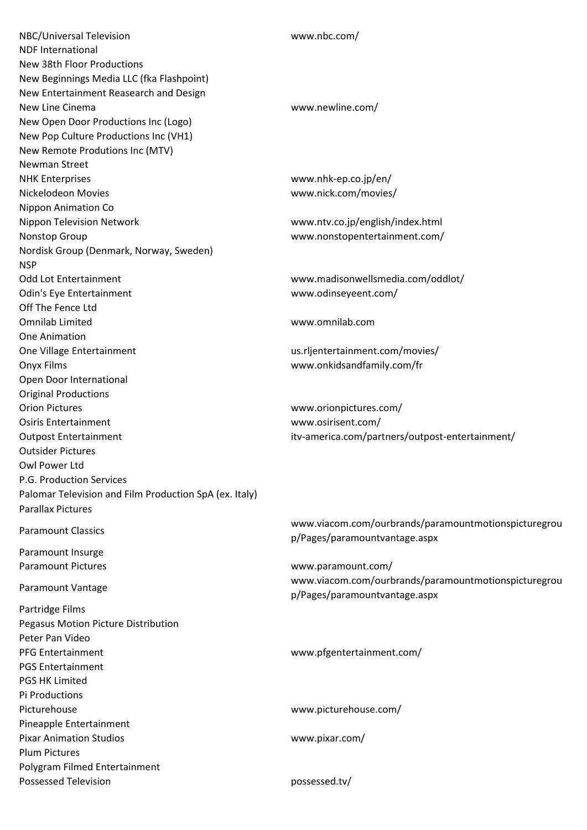| NBC/Universal Television                               | www.nbc.com/                                         |
|--------------------------------------------------------|------------------------------------------------------|
| <b>NDF International</b>                               |                                                      |
| New 38th Floor Productions                             |                                                      |
| New Beginnings Media LLC (fka Flashpoint)              |                                                      |
| New Entertainment Reasearch and Design                 |                                                      |
| New Line Cinema                                        | www.newline.com/                                     |
| New Open Door Productions Inc (Logo)                   |                                                      |
| New Pop Culture Productions Inc (VH1)                  |                                                      |
| New Remote Produtions Inc (MTV)                        |                                                      |
| Newman Street                                          |                                                      |
| <b>NHK Enterprises</b>                                 | www.nhk-ep.co.jp/en/                                 |
| Nickelodeon Movies                                     | www.nick.com/movies/                                 |
|                                                        |                                                      |
| Nippon Animation Co                                    |                                                      |
| Nippon Television Network                              | www.ntv.co.jp/english/index.html                     |
| Nonstop Group                                          | www.nonstopentertainment.com/                        |
| Nordisk Group (Denmark, Norway, Sweden)                |                                                      |
| <b>NSP</b>                                             |                                                      |
| <b>Odd Lot Entertainment</b>                           | www.madisonwellsmedia.com/oddlot/                    |
| Odin's Eye Entertainment                               | www.odinseyeent.com/                                 |
| Off The Fence Ltd                                      |                                                      |
| <b>Omnilab Limited</b>                                 | www.omnilab.com                                      |
| One Animation                                          |                                                      |
| One Village Entertainment                              | us.rljentertainment.com/movies/                      |
| Onyx Films                                             | www.onkidsandfamily.com/fr                           |
| Open Door International                                |                                                      |
| <b>Original Productions</b>                            |                                                      |
| <b>Orion Pictures</b>                                  | www.orionpictures.com/                               |
| <b>Osiris Entertainment</b>                            | www.osirisent.com/                                   |
| <b>Outpost Entertainment</b>                           | itv-america.com/partners/outpost-entertainment/      |
| <b>Outsider Pictures</b>                               |                                                      |
| Owl Power Ltd                                          |                                                      |
| P.G. Production Services                               |                                                      |
| Palomar Television and Film Production SpA (ex. Italy) |                                                      |
| <b>Parallax Pictures</b>                               |                                                      |
|                                                        |                                                      |
| <b>Paramount Classics</b>                              | www.viacom.com/ourbrands/paramountmotionspicturegrou |
|                                                        | p/Pages/paramountvantage.aspx                        |
| Paramount Insurge                                      |                                                      |
| <b>Paramount Pictures</b>                              | www.paramount.com/                                   |
| Paramount Vantage                                      | www.viacom.com/ourbrands/paramountmotionspicturegrou |
|                                                        | p/Pages/paramountvantage.aspx                        |
| Partridge Films                                        |                                                      |
| Pegasus Motion Picture Distribution                    |                                                      |
| Peter Pan Video                                        |                                                      |
| <b>PFG Entertainment</b>                               | www.pfgentertainment.com/                            |
| <b>PGS Entertainment</b>                               |                                                      |
| <b>PGS HK Limited</b>                                  |                                                      |
| Pi Productions                                         |                                                      |
| Picturehouse                                           | www.picturehouse.com/                                |
| Pineapple Entertainment                                |                                                      |
| <b>Pixar Animation Studios</b>                         | www.pixar.com/                                       |
| <b>Plum Pictures</b>                                   |                                                      |
| Polygram Filmed Entertainment                          |                                                      |
| <b>Possessed Television</b>                            | possessed.tv/                                        |
|                                                        |                                                      |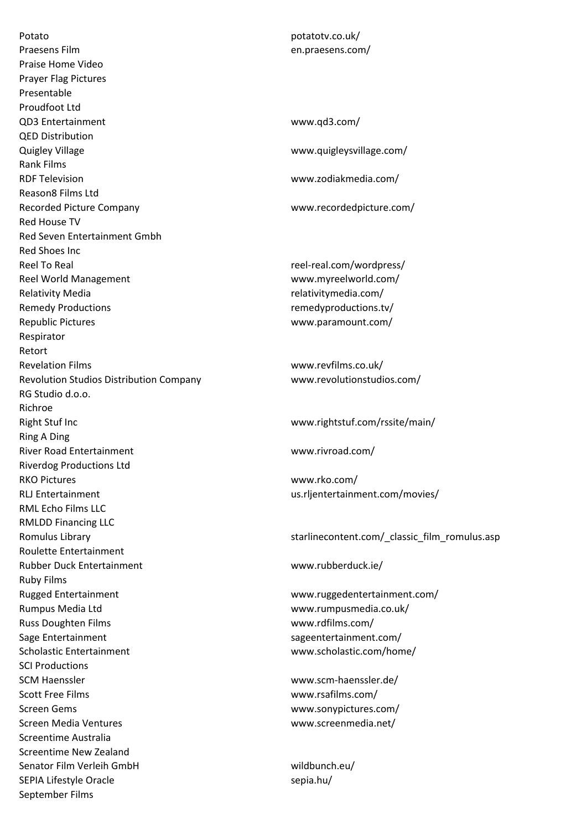Potato potatotv.co.uk/ Praesens Film en.praesens.com/ Praise Home Video Prayer Flag Pictures Presentable Proudfoot Ltd QD3 Entertainment www.qd3.com/ QED Distribution Quigley Village www.quigleysvillage.com/ Rank Films RDF Television www.zodiakmedia.com/ Reason8 Films Ltd Recorded Picture Company www.recordedpicture.com/ Red House TV Red Seven Entertainment Gmbh Red Shoes Inc Reel To Real reel-real.com/wordpress/ Reel World Management Warehouse Books and West West West West West West Archives West Archives and West Archives Relativity Media **Relativity Media** relativitymedia.com/ Remedy Productions and the control of the control of the control of the control of the control of the control o Republic Pictures www.paramount.com/ Respirator Retort Revelation Films www.revfilms.co.uk/ Revolution Studios Distribution Company www.revolutionstudios.com/ RG Studio d.o.o. Richroe Right Stuf Inc www.rightstuf.com/rssite/main/ Ring A Ding River Road Entertainment www.rivroad.com/ Riverdog Productions Ltd RKO Pictures www.rko.com/ RLJ Entertainment us.rljentertainment.com/movies/ RML Echo Films LLC RMLDD Financing LLC Roulette Entertainment Rubber Duck Entertainment www.rubberduck.ie/ Ruby Films Rugged Entertainment www.ruggedentertainment.com/ Rumpus Media Ltd www.rumpusmedia.co.uk/ Russ Doughten Films **WALLACK COMPOONER WWW.rdfilms.com/** Sage Entertainment sageentertainment.com/ Scholastic Entertainment www.scholastic.com/home/ SCI Productions SCM Haenssler www.scm-haenssler.de/ Scott Free Films www.rsafilms.com/ Screen Gems www.sonypictures.com/ Screen Media Ventures www.screenmedia.net/ Screentime Australia Screentime New Zealand Senator Film Verleih GmbH wildbunch.eu/ SEPIA Lifestyle Oracle sepia.hu/ September Films

Romulus Library starlinecontent.com/\_classic\_film\_romulus.asp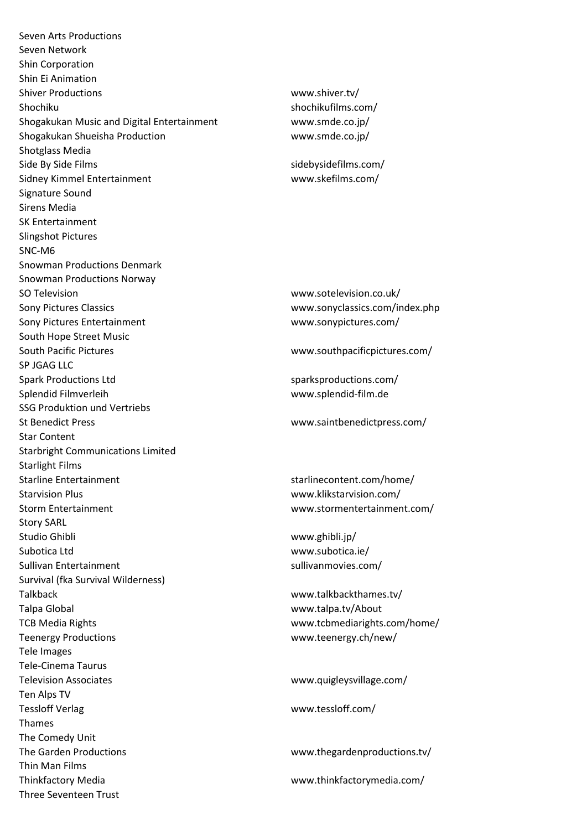Seven Arts Productions Seven Network Shin Corporation Shin Ei Animation Shiver Productions www.shiver.tv/ Shochiku shochikufilms.com/ Shogakukan Music and Digital Entertainment www.smde.co.jp/ Shogakukan Shueisha Production www.smde.co.jp/ Shotglass Media Side By Side Films sidebysidefilms.com/ Sidney Kimmel Entertainment www.skefilms.com/ Signature Sound Sirens Media SK Entertainment Slingshot Pictures SNC-M6 Snowman Productions Denmark Snowman Productions Norway SO Television www.sotelevision.co.uk/ Sony Pictures Classics www.sonyclassics.com/index.php Sony Pictures Entertainment www.sonypictures.com/ South Hope Street Music South Pacific Pictures www.southpacificpictures.com/ SP JGAG LLC Spark Productions Ltd sparksproductions.com/ Splendid Filmverleih www.splendid-film.de SSG Produktion und Vertriebs St Benedict Press www.saintbenedictpress.com/ Star Content Starbright Communications Limited Starlight Films Starline Entertainment starlinecontent.com/home/ Starvision Plus www.klikstarvision.com/ Storm Entertainment www.stormentertainment.com/ Story SARL Studio Ghibli www.ghibli.jp/ Subotica Ltd www.subotica.ie/ Sullivan Entertainment sullivanmovies.com/ Survival (fka Survival Wilderness) Talkback and the state of the state www.talkbackthames.tv/ Talpa Global www.talpa.tv/About TCB Media Rights www.tcbmediarights.com/home/ Teenergy Productions www.teenergy.ch/new/ Tele Images Tele-Cinema Taurus Television Associates www.quigleysvillage.com/ Ten Alps TV Tessloff Verlag www.tessloff.com/ Thames The Comedy Unit The Garden Productions www.thegardenproductions.tv/ Thin Man Films Thinkfactory Media www.thinkfactorymedia.com/ Three Seventeen Trust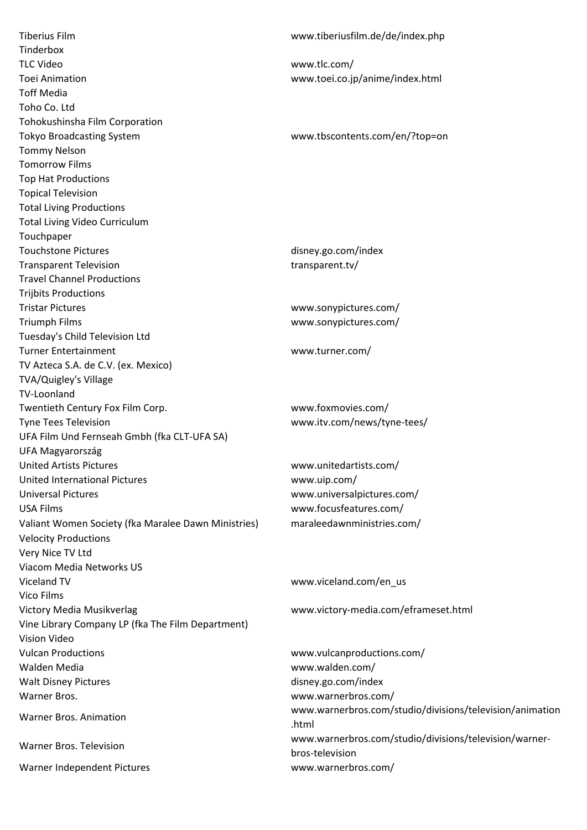Tiberius Film www.tiberiusfilm.de/de/index.php Tinderbox TLC Video www.tlc.com/ Toei Animation www.toei.co.jp/anime/index.html Toff Media Toho Co. Ltd Tohokushinsha Film Corporation Tokyo Broadcasting System www.tbscontents.com/en/?top=on Tommy Nelson Tomorrow Films Top Hat Productions Topical Television Total Living Productions Total Living Video Curriculum Touchpaper Touchstone Pictures disney.go.com/index Transparent Television transparent.tv/ Travel Channel Productions Trijbits Productions Tristar Pictures www.sonypictures.com/ Triumph Films www.sonypictures.com/ Tuesday's Child Television Ltd Turner Entertainment www.turner.com/ TV Azteca S.A. de C.V. (ex. Mexico) TVA/Quigley's Village TV-Loonland Twentieth Century Fox Film Corp. www.foxmovies.com/ Tyne Tees Television www.itv.com/news/tyne-tees/ UFA Film Und Fernseah Gmbh (fka CLT-UFA SA) UFA Magyarország United Artists Pictures www.unitedartists.com/ United International Pictures www.uip.com/ Universal Pictures www.universalpictures.com/ USA Films www.focusfeatures.com/ Valiant Women Society (fka Maralee Dawn Ministries) maraleedawnministries.com/ Velocity Productions Very Nice TV Ltd Viacom Media Networks US Viceland TV **WICE 2008** WWW.viceland.com/en\_us Vico Films Victory Media Musikverlag www.victory-media.com/eframeset.html Vine Library Company LP (fka The Film Department) Vision Video Vulcan Productions www.vulcanproductions.com/ Walden Media www.walden.com/ Walt Disney Pictures and the community of the disney.go.com/index Warner Bros. www.warnerbros.com/ Warner Bros. Animation

.html

www.warnerbros.com/studio/divisions/television/animation Warner Bros. Television www.warnerbros.com/studio/divisions/television/warnerbros-television Warner Independent Pictures www.warnerbros.com/